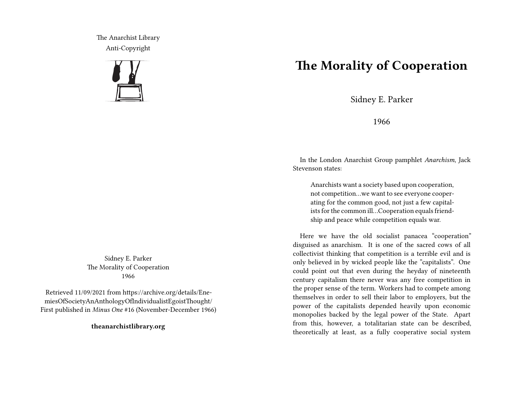The Anarchist Library Anti-Copyright



Sidney E. Parker The Morality of Cooperation 1966

Retrieved 11/09/2021 from https://archive.org/details/EnemiesOfSocietyAnAnthologyOfIndividualistEgoistThought/ First published in *Minus One* #16 (November-December 1966)

**theanarchistlibrary.org**

## **The Morality of Cooperation**

Sidney E. Parker

1966

In the London Anarchist Group pamphlet *Anarchism*, Jack Stevenson states:

Anarchists want a society based upon cooperation, not competition…we want to see everyone cooperating for the common good, not just a few capitalists for the common ill…Cooperation equals friendship and peace while competition equals war.

Here we have the old socialist panacea "cooperation" disguised as anarchism. It is one of the sacred cows of all collectivist thinking that competition is a terrible evil and is only believed in by wicked people like the "capitalists". One could point out that even during the heyday of nineteenth century capitalism there never was any free competition in the proper sense of the term. Workers had to compete among themselves in order to sell their labor to employers, but the power of the capitalists depended heavily upon economic monopolies backed by the legal power of the State. Apart from this, however, a totalitarian state can be described, theoretically at least, as a fully cooperative social system